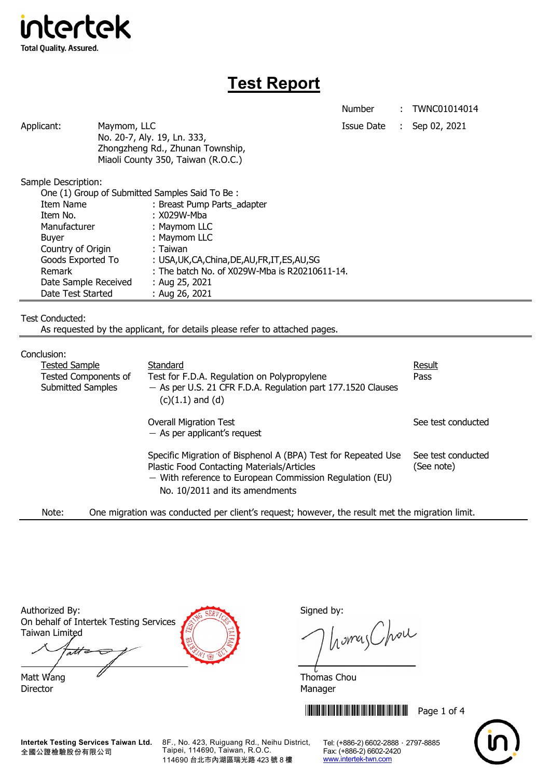

# **Test Report**

Number : TWNC01014014

| Applicant: | Maymom, LLC                        | Issue Date | $\therefore$ Sep 02, 2021 |
|------------|------------------------------------|------------|---------------------------|
|            | No. 20-7, Aly. 19, Ln. 333,        |            |                           |
|            | Zhongzheng Rd., Zhunan Township,   |            |                           |
|            | Miaoli County 350, Taiwan (R.O.C.) |            |                           |

Sample Description:

| One (1) Group of Submitted Samples Said To Be: |                                                  |  |  |  |
|------------------------------------------------|--------------------------------------------------|--|--|--|
| <b>Item Name</b>                               | : Breast Pump Parts_adapter                      |  |  |  |
| Item No.                                       | : X029W-Mba                                      |  |  |  |
| Manufacturer                                   | : Maymom LLC                                     |  |  |  |
| <b>Buyer</b>                                   | : Maymom LLC                                     |  |  |  |
| Country of Origin                              | : Taiwan                                         |  |  |  |
| Goods Exported To                              | : USA, UK, CA, China, DE, AU, FR, IT, ES, AU, SG |  |  |  |
| Remark                                         | : The batch No. of X029W-Mba is R20210611-14.    |  |  |  |
| Date Sample Received                           | : Aug 25, 2021                                   |  |  |  |
| Date Test Started                              | : Aug 26, 2021                                   |  |  |  |

Test Conducted:

As requested by the applicant, for details please refer to attached pages.

## Conclusion:

| יי ישוטוטו                                              |                                                                                                                                                                                                            |                                  |
|---------------------------------------------------------|------------------------------------------------------------------------------------------------------------------------------------------------------------------------------------------------------------|----------------------------------|
| <b>Tested Sample</b>                                    | Standard                                                                                                                                                                                                   | <b>Result</b>                    |
| <b>Tested Components of</b><br><b>Submitted Samples</b> | Test for F.D.A. Regulation on Polypropylene<br>- As per U.S. 21 CFR F.D.A. Regulation part 177.1520 Clauses<br>$(c)(1.1)$ and $(d)$                                                                        | Pass                             |
|                                                         | <b>Overall Migration Test</b><br>$-$ As per applicant's request                                                                                                                                            | See test conducted               |
|                                                         | Specific Migration of Bisphenol A (BPA) Test for Repeated Use<br>Plastic Food Contacting Materials/Articles<br>$-$ With reference to European Commission Regulation (EU)<br>No. 10/2011 and its amendments | See test conducted<br>(See note) |
|                                                         |                                                                                                                                                                                                            |                                  |

Note: One migration was conducted per client's request; however, the result met the migration limit.

| Authorized By:                         |
|----------------------------------------|
| On behalf of Intertek Testing Services |
| Taiwan Limited                         |

ati Matt Wang  $\overline{a}$  Matt Wang  $\overline{a}$ 

Director Manager

Signed by:

homas Chou

**THEFT IN THE THEFT IN THE THEFT IN THE THEFT IN THE THEFT IN THE TH** 



**Intertek Testing Services Taiwan Ltd.** 全國公證檢驗股份有限公司

8F., No. 423, Ruiguang Rd., Neihu District, Taipei, 114690, Taiwan, R.O.C. 114690 台北市內湖區瑞光路 423 號 8 樓

Tel: (+886-2) 6602-2888 · 2797-8885 Fax: (+886-2) 6602-2420 www.intertek-twn.com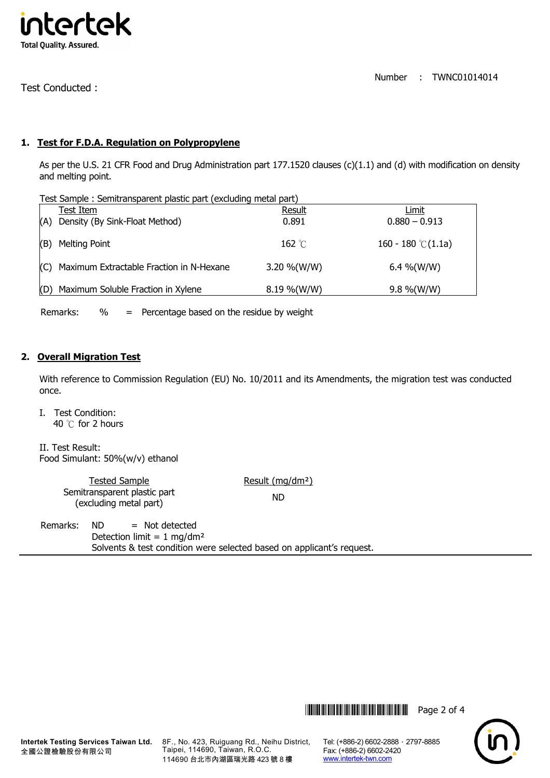

Test Conducted :

## **1. Test for F.D.A. Regulation on Polypropylene**

As per the U.S. 21 CFR Food and Drug Administration part 177.1520 clauses (c)(1.1) and (d) with modification on density and melting point.

| Test Sample: Semitransparent plastic part (excluding metal part) |                                              |                 |                             |  |
|------------------------------------------------------------------|----------------------------------------------|-----------------|-----------------------------|--|
|                                                                  | Test Item                                    | Result          | Limit                       |  |
| (A)                                                              | Density (By Sink-Float Method)               | 0.891           | $0.880 - 0.913$             |  |
|                                                                  | (B) Melting Point                            | 162 $\degree$ C | 160 - 180 $\degree$ C(1.1a) |  |
|                                                                  | (C) Maximum Extractable Fraction in N-Hexane | 3.20 %(W/W)     | 6.4 %(W/W)                  |  |
|                                                                  | (D) Maximum Soluble Fraction in Xylene       | $8.19\%$ (W/W)  | $9.8\%$ (W/W)               |  |

Remarks: % = Percentage based on the residue by weight

#### **2. Overall Migration Test**

With reference to Commission Regulation (EU) No. 10/2011 and its Amendments, the migration test was conducted once.

I. Test Condition: 40 ℃ for 2 hours

II. Test Result: Food Simulant: 50%(w/v) ethanol

| <b>Tested Sample</b>                                   | Result (mg/dm <sup>2</sup> ) |
|--------------------------------------------------------|------------------------------|
| Semitransparent plastic part<br>(excluding metal part) | ND                           |

Remarks: ND = Not detected Detection limit =  $1 \text{ mg/dm}^2$ Solvents & test condition were selected based on applicant's request.

8F., No. 423, Ruiguang Rd., Neihu District, Taipei, 114690, Taiwan, R.O.C. 114690 台北市內湖區瑞光路 423 號 8 樓

Tel: (+886-2) 6602-2888 · 2797-8885 Fax: (+886-2) 6602-2420 www.intertek-twn.com

**THEFT THEFT THEFT THEFT THEFT THEFT THEFT THEFT THEFT THEFT THEFT THEFT THEFT THEFT THEFT THEFT THEFT THEFT TH** 

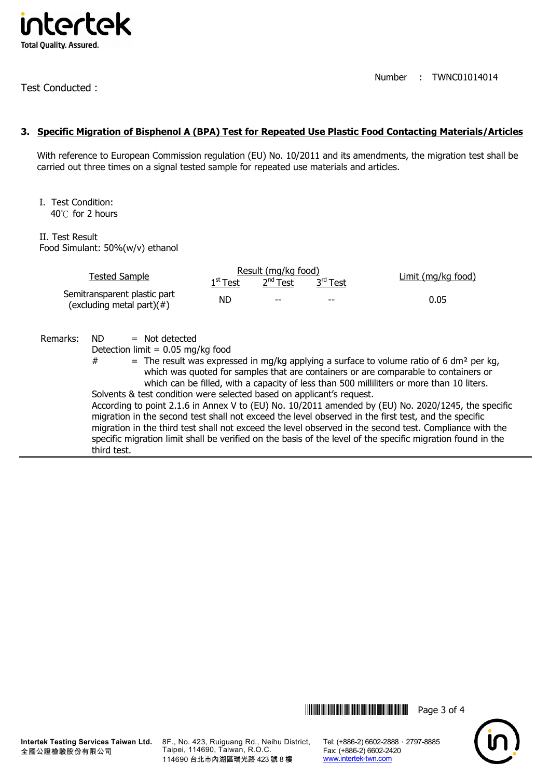

Test Conducted :

Number : TWNC01014014

#### **3. Specific Migration of Bisphenol A (BPA) Test for Repeated Use Plastic Food Contacting Materials/Articles**

With reference to European Commission regulation (EU) No. 10/2011 and its amendments, the migration test shall be carried out three times on a signal tested sample for repeated use materials and articles.

I. Test Condition: 40℃ for 2 hours

II. Test Result Food Simulant: 50%(w/v) ethanol

|                                                               | <b>Tested Sample</b>                                                                                                                                        |     | Result (mg/kg food)<br>$2nd$ Test<br>3rd Test<br>$1st$ Test |  | Limit (mg/kg food)                                                                                                                                                                                                                                                                                                                                                                                                                                                                                                                                                                                                                                                                                                               |  |
|---------------------------------------------------------------|-------------------------------------------------------------------------------------------------------------------------------------------------------------|-----|-------------------------------------------------------------|--|----------------------------------------------------------------------------------------------------------------------------------------------------------------------------------------------------------------------------------------------------------------------------------------------------------------------------------------------------------------------------------------------------------------------------------------------------------------------------------------------------------------------------------------------------------------------------------------------------------------------------------------------------------------------------------------------------------------------------------|--|
| Semitransparent plastic part<br>(excluding metal part) $(\#)$ |                                                                                                                                                             | ND. |                                                             |  | 0.05                                                                                                                                                                                                                                                                                                                                                                                                                                                                                                                                                                                                                                                                                                                             |  |
| Remarks:                                                      | ND.<br>$=$ Not detected<br>Detection limit = $0.05$ mg/kg food<br>#<br>Solvents & test condition were selected based on applicant's request.<br>third test. |     |                                                             |  | = The result was expressed in mg/kg applying a surface to volume ratio of 6 dm <sup>2</sup> per kg,<br>which was quoted for samples that are containers or are comparable to containers or<br>which can be filled, with a capacity of less than 500 milliliters or more than 10 liters.<br>According to point 2.1.6 in Annex V to (EU) No. 10/2011 amended by (EU) No. 2020/1245, the specific<br>migration in the second test shall not exceed the level observed in the first test, and the specific<br>migration in the third test shall not exceed the level observed in the second test. Compliance with the<br>specific migration limit shall be verified on the basis of the level of the specific migration found in the |  |

**THEFT READERS** THE THILLET READER IN THE READER OF 4



**Intertek Testing Services Taiwan Ltd.** 全國公證檢驗股份有限公司

8F., No. 423, Ruiguang Rd., Neihu District, Taipei, 114690, Taiwan, R.O.C. 114690 台北市內湖區瑞光路 423 號 8 樓

Tel: (+886-2) 6602-2888 · 2797-8885 Fax: (+886-2) 6602-2420 www.intertek-twn.com